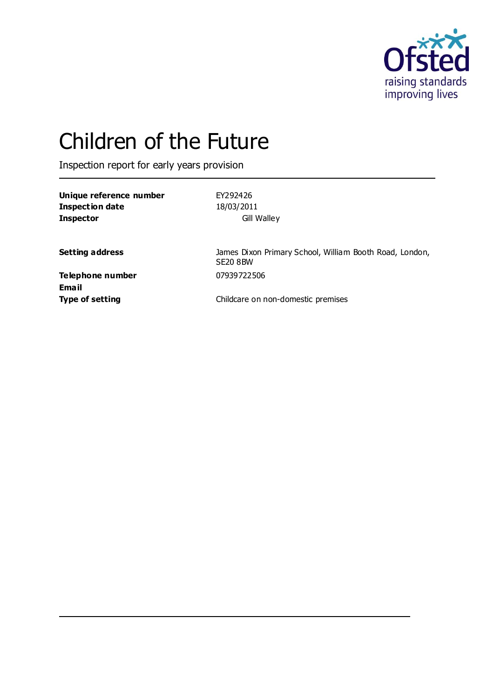

# Children of the Future

Inspection report for early years provision

| Unique reference number | EY292426    |
|-------------------------|-------------|
| Inspection date         | 18/03/2011  |
| <b>Inspector</b>        | Gill Walley |

**Setting address** James Dixon Primary School, William Booth Road, London, SE20 8BW

**Telephone number** 07939722506 **Email**

**Type of setting** Type of setting **Childcare on non-domestic premises**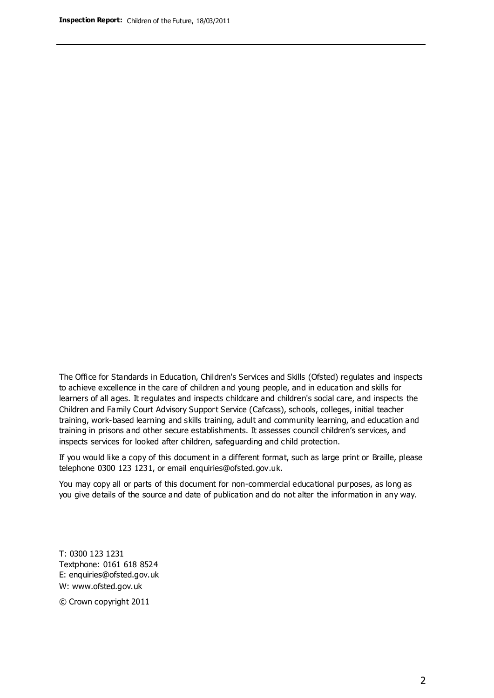The Office for Standards in Education, Children's Services and Skills (Ofsted) regulates and inspects to achieve excellence in the care of children and young people, and in education and skills for learners of all ages. It regulates and inspects childcare and children's social care, and inspects the Children and Family Court Advisory Support Service (Cafcass), schools, colleges, initial teacher training, work-based learning and skills training, adult and community learning, and education and training in prisons and other secure establishments. It assesses council children's services, and inspects services for looked after children, safeguarding and child protection.

If you would like a copy of this document in a different format, such as large print or Braille, please telephone 0300 123 1231, or email enquiries@ofsted.gov.uk.

You may copy all or parts of this document for non-commercial educational purposes, as long as you give details of the source and date of publication and do not alter the information in any way.

T: 0300 123 1231 Textphone: 0161 618 8524 E: enquiries@ofsted.gov.uk W: [www.ofsted.gov.uk](http://www.ofsted.gov.uk/)

© Crown copyright 2011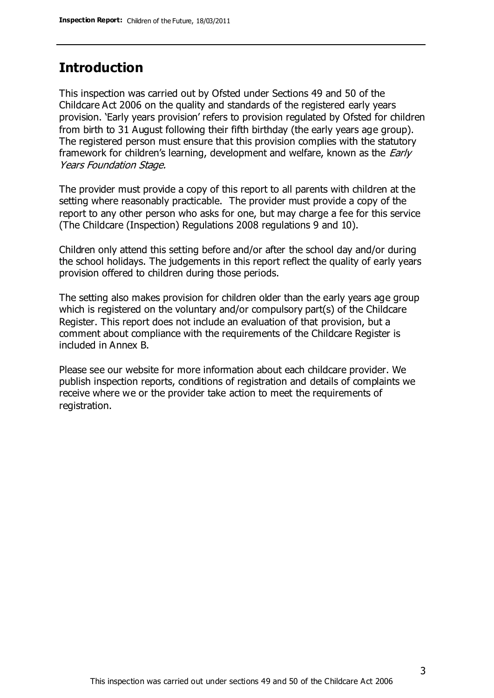### **Introduction**

This inspection was carried out by Ofsted under Sections 49 and 50 of the Childcare Act 2006 on the quality and standards of the registered early years provision. 'Early years provision' refers to provision regulated by Ofsted for children from birth to 31 August following their fifth birthday (the early years age group). The registered person must ensure that this provision complies with the statutory framework for children's learning, development and welfare, known as the *Early* Years Foundation Stage.

The provider must provide a copy of this report to all parents with children at the setting where reasonably practicable. The provider must provide a copy of the report to any other person who asks for one, but may charge a fee for this service (The Childcare (Inspection) Regulations 2008 regulations 9 and 10).

Children only attend this setting before and/or after the school day and/or during the school holidays. The judgements in this report reflect the quality of early years provision offered to children during those periods.

The setting also makes provision for children older than the early years age group which is registered on the voluntary and/or compulsory part(s) of the Childcare Register. This report does not include an evaluation of that provision, but a comment about compliance with the requirements of the Childcare Register is included in Annex B.

Please see our website for more information about each childcare provider. We publish inspection reports, conditions of registration and details of complaints we receive where we or the provider take action to meet the requirements of registration.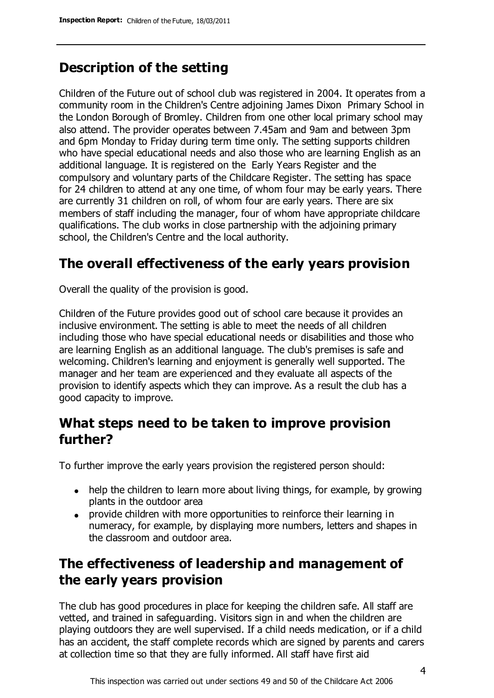## **Description of the setting**

Children of the Future out of school club was registered in 2004. It operates from a community room in the Children's Centre adjoining James Dixon Primary School in the London Borough of Bromley. Children from one other local primary school may also attend. The provider operates between 7.45am and 9am and between 3pm and 6pm Monday to Friday during term time only. The setting supports children who have special educational needs and also those who are learning English as an additional language. It is registered on the Early Years Register and the compulsory and voluntary parts of the Childcare Register. The setting has space for 24 children to attend at any one time, of whom four may be early years. There are currently 31 children on roll, of whom four are early years. There are six members of staff including the manager, four of whom have appropriate childcare qualifications. The club works in close partnership with the adjoining primary school, the Children's Centre and the local authority.

## **The overall effectiveness of the early years provision**

Overall the quality of the provision is good.

Children of the Future provides good out of school care because it provides an inclusive environment. The setting is able to meet the needs of all children including those who have special educational needs or disabilities and those who are learning English as an additional language. The club's premises is safe and welcoming. Children's learning and enjoyment is generally well supported. The manager and her team are experienced and they evaluate all aspects of the provision to identify aspects which they can improve. As a result the club has a good capacity to improve.

## **What steps need to be taken to improve provision further?**

To further improve the early years provision the registered person should:

- help the children to learn more about living things, for example, by growing plants in the outdoor area
- provide children with more opportunities to reinforce their learning in numeracy, for example, by displaying more numbers, letters and shapes in the classroom and outdoor area.

## **The effectiveness of leadership and management of the early years provision**

The club has good procedures in place for keeping the children safe. All staff are vetted, and trained in safeguarding. Visitors sign in and when the children are playing outdoors they are well supervised. If a child needs medication, or if a child has an accident, the staff complete records which are signed by parents and carers at collection time so that they are fully informed. All staff have first aid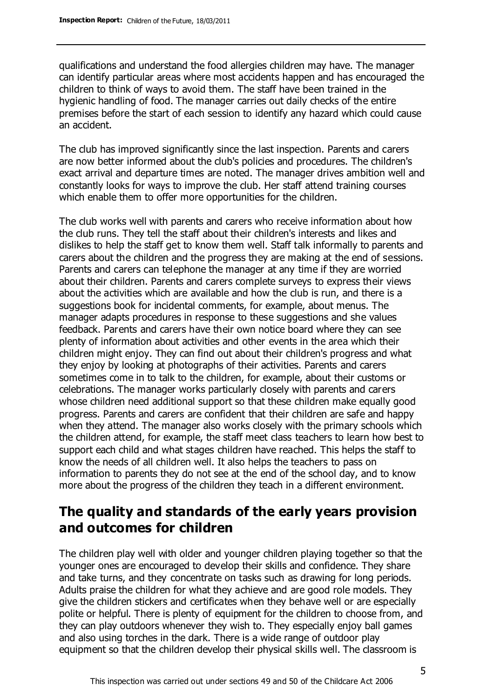qualifications and understand the food allergies children may have. The manager can identify particular areas where most accidents happen and has encouraged the children to think of ways to avoid them. The staff have been trained in the hygienic handling of food. The manager carries out daily checks of the entire premises before the start of each session to identify any hazard which could cause an accident.

The club has improved significantly since the last inspection. Parents and carers are now better informed about the club's policies and procedures. The children's exact arrival and departure times are noted. The manager drives ambition well and constantly looks for ways to improve the club. Her staff attend training courses which enable them to offer more opportunities for the children.

The club works well with parents and carers who receive information about how the club runs. They tell the staff about their children's interests and likes and dislikes to help the staff get to know them well. Staff talk informally to parents and carers about the children and the progress they are making at the end of sessions. Parents and carers can telephone the manager at any time if they are worried about their children. Parents and carers complete surveys to express their views about the activities which are available and how the club is run, and there is a suggestions book for incidental comments, for example, about menus. The manager adapts procedures in response to these suggestions and she values feedback. Parents and carers have their own notice board where they can see plenty of information about activities and other events in the area which their children might enjoy. They can find out about their children's progress and what they enjoy by looking at photographs of their activities. Parents and carers sometimes come in to talk to the children, for example, about their customs or celebrations. The manager works particularly closely with parents and carers whose children need additional support so that these children make equally good progress. Parents and carers are confident that their children are safe and happy when they attend. The manager also works closely with the primary schools which the children attend, for example, the staff meet class teachers to learn how best to support each child and what stages children have reached. This helps the staff to know the needs of all children well. It also helps the teachers to pass on information to parents they do not see at the end of the school day, and to know more about the progress of the children they teach in a different environment.

## **The quality and standards of the early years provision and outcomes for children**

The children play well with older and younger children playing together so that the younger ones are encouraged to develop their skills and confidence. They share and take turns, and they concentrate on tasks such as drawing for long periods. Adults praise the children for what they achieve and are good role models. They give the children stickers and certificates when they behave well or are especially polite or helpful. There is plenty of equipment for the children to choose from, and they can play outdoors whenever they wish to. They especially enjoy ball games and also using torches in the dark. There is a wide range of outdoor play equipment so that the children develop their physical skills well. The classroom is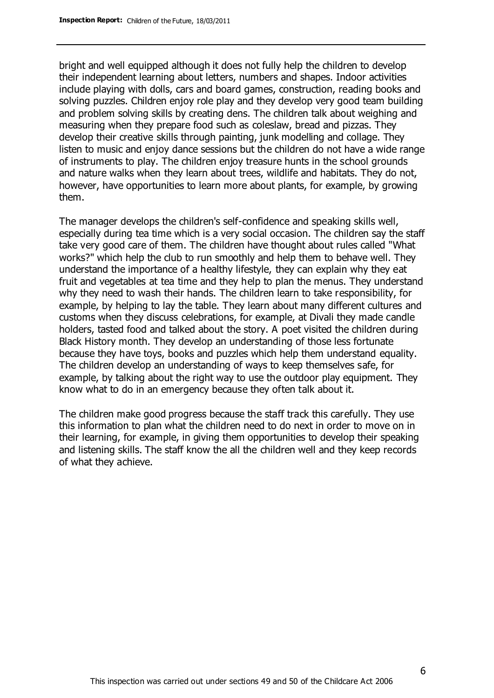bright and well equipped although it does not fully help the children to develop their independent learning about letters, numbers and shapes. Indoor activities include playing with dolls, cars and board games, construction, reading books and solving puzzles. Children enjoy role play and they develop very good team building and problem solving skills by creating dens. The children talk about weighing and measuring when they prepare food such as coleslaw, bread and pizzas. They develop their creative skills through painting, junk modelling and collage. They listen to music and enjoy dance sessions but the children do not have a wide range of instruments to play. The children enjoy treasure hunts in the school grounds and nature walks when they learn about trees, wildlife and habitats. They do not, however, have opportunities to learn more about plants, for example, by growing them.

The manager develops the children's self-confidence and speaking skills well, especially during tea time which is a very social occasion. The children say the staff take very good care of them. The children have thought about rules called "What works?" which help the club to run smoothly and help them to behave well. They understand the importance of a healthy lifestyle, they can explain why they eat fruit and vegetables at tea time and they help to plan the menus. They understand why they need to wash their hands. The children learn to take responsibility, for example, by helping to lay the table. They learn about many different cultures and customs when they discuss celebrations, for example, at Divali they made candle holders, tasted food and talked about the story. A poet visited the children during Black History month. They develop an understanding of those less fortunate because they have toys, books and puzzles which help them understand equality. The children develop an understanding of ways to keep themselves safe, for example, by talking about the right way to use the outdoor play equipment. They know what to do in an emergency because they often talk about it.

The children make good progress because the staff track this carefully. They use this information to plan what the children need to do next in order to move on in their learning, for example, in giving them opportunities to develop their speaking and listening skills. The staff know the all the children well and they keep records of what they achieve.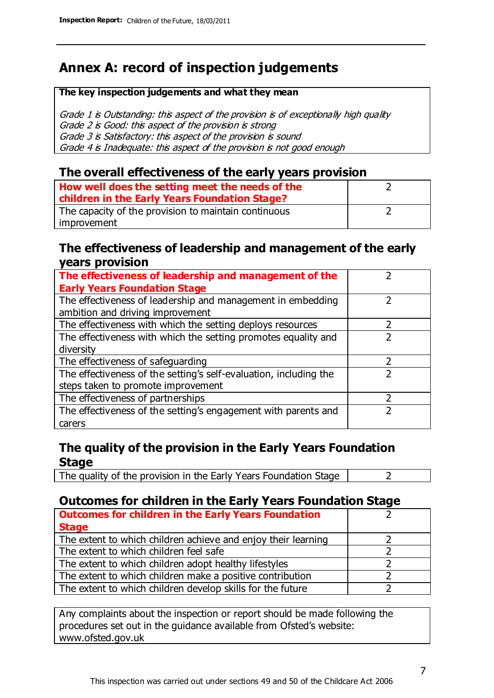# **Annex A: record of inspection judgements**

#### **The key inspection judgements and what they mean**

Grade 1 is Outstanding: this aspect of the provision is of exceptionally high quality Grade 2 is Good: this aspect of the provision is strong Grade 3 is Satisfactory: this aspect of the provision is sound Grade 4 is Inadequate: this aspect of the provision is not good enough

#### **The overall effectiveness of the early years provision**

| How well does the setting meet the needs of the      |  |
|------------------------------------------------------|--|
| children in the Early Years Foundation Stage?        |  |
| The capacity of the provision to maintain continuous |  |
| improvement                                          |  |

#### **The effectiveness of leadership and management of the early years provision**

| The effectiveness of leadership and management of the             |  |
|-------------------------------------------------------------------|--|
| <b>Early Years Foundation Stage</b>                               |  |
| The effectiveness of leadership and management in embedding       |  |
| ambition and driving improvement                                  |  |
| The effectiveness with which the setting deploys resources        |  |
| The effectiveness with which the setting promotes equality and    |  |
| diversity                                                         |  |
| The effectiveness of safeguarding                                 |  |
| The effectiveness of the setting's self-evaluation, including the |  |
| steps taken to promote improvement                                |  |
| The effectiveness of partnerships                                 |  |
| The effectiveness of the setting's engagement with parents and    |  |
| carers                                                            |  |

#### **The quality of the provision in the Early Years Foundation Stage**

The quality of the provision in the Early Years Foundation Stage  $\vert$  2

#### **Outcomes for children in the Early Years Foundation Stage**

| <b>Outcomes for children in the Early Years Foundation</b>    |  |
|---------------------------------------------------------------|--|
| <b>Stage</b>                                                  |  |
| The extent to which children achieve and enjoy their learning |  |
| The extent to which children feel safe                        |  |
| The extent to which children adopt healthy lifestyles         |  |
| The extent to which children make a positive contribution     |  |
| The extent to which children develop skills for the future    |  |

Any complaints about the inspection or report should be made following the procedures set out in the guidance available from Ofsted's website: www.ofsted.gov.uk